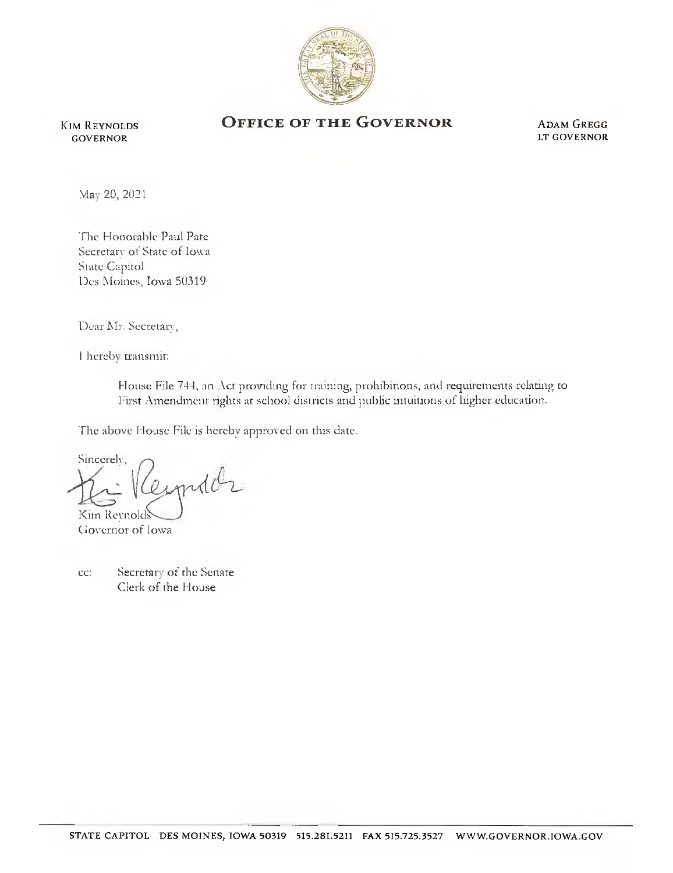

Kim Reynolds GOVERNOR

## OFFICE OF THE GOVERNOR ADAM GREGG

LT GOVERNOR

Mav 20, 2021

'I'hc Honorable Paul Pate Secretary of State of Iowa State Capitol Des Moines, Iowa 50319

Dear Mr. Secretary,

I hereby transmit:

House File 744, an Act providing for training, prohibitions, and requirements relating to First Amendment rights at school districts and public intuitions of higher education.

The above House File is hereby approved on this date.

Sincereh', produ Kim Reynold

Ciovernor of Iowa

cc: Secretary of the Senate Clerk of the House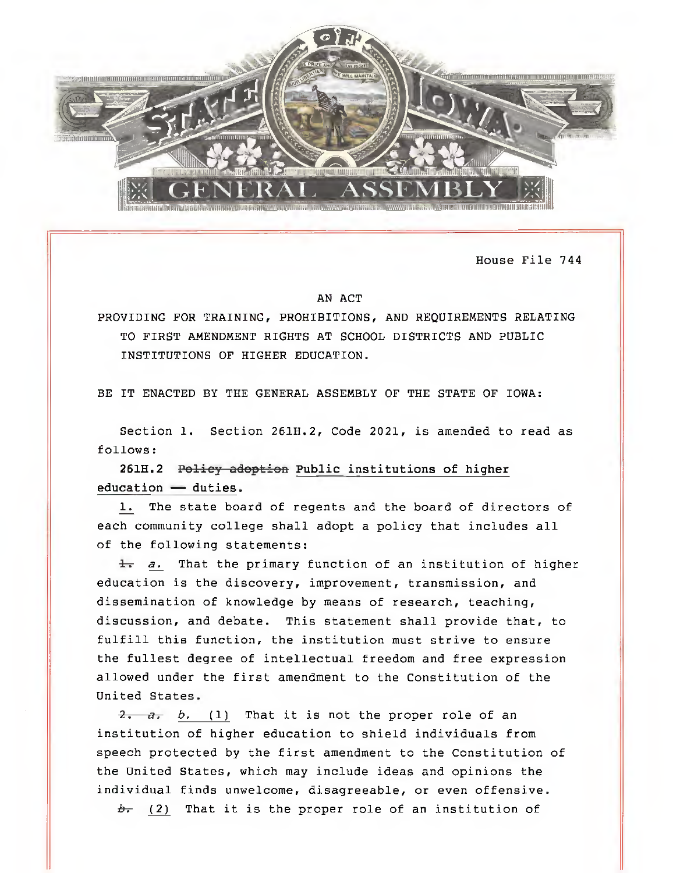

House File 744

## AN ACT

PROVIDING FOR TRAINING, PROHIBITIONS, AND REQUIREMENTS RELATING TO FIRST AMENDMENT RIGHTS AT SCHOOL DISTRICTS AND PUBLIC INSTITUTIONS OF HIGHER EDUCATION,

BE IT ENACTED BY THE GENERAL ASSEMBLY OF THE STATE OF IOWA:

Section 1. Section 261H.2, Code 2021, is amended to read as follows:

261H.2 Policy adoption Public institutions of higher education — duties.

1, The state board of regents and the board of directors of each community college shall adopt a policy that includes all of the following statements:

 $\frac{1}{2}$  a. That the primary function of an institution of higher education is the discovery, improvement, transmission, and dissemination of knowledge by means of research, teaching, discussion, and debate. This statement shall provide that, to fulfill this function, the institution must strive to ensure the fullest degree of intellectual freedom and free expression allowed under the first amendment to the Constitution of the United States,

 $\frac{1}{2}$ ,  $\frac{1}{2}$ ,  $\frac{1}{2}$ , (1) That it is not the proper role of an institution of higher education to shield individuals from speech protected by the first amendment to the Constitution of the United States, which may include ideas and opinions the individual finds unwelcome, disagreeable, or even offensive.

 $b$ - (2) That it is the proper role of an institution of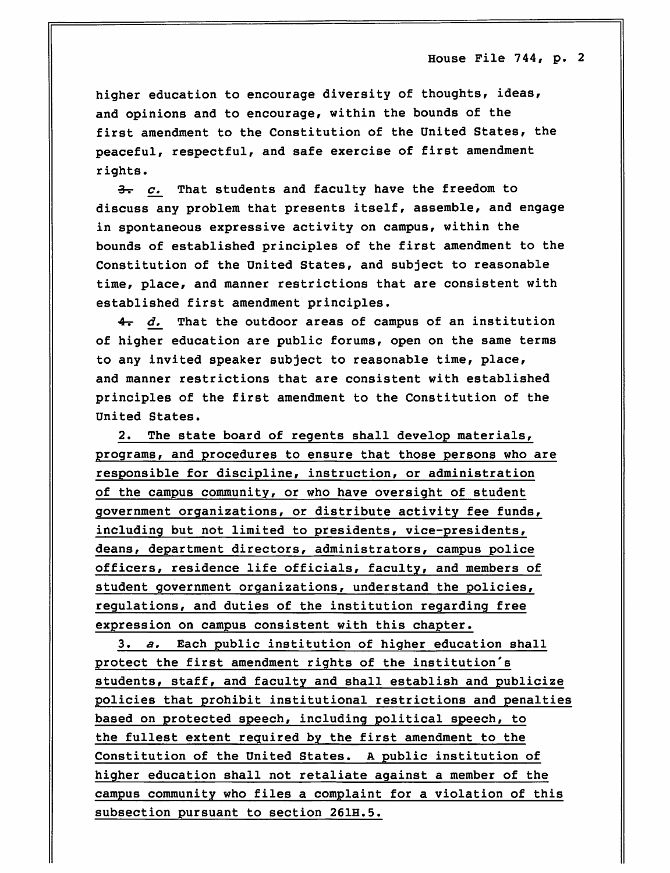House Pile 744, p. 2

higher education to encourage diversity of thoughts, ideas, and opinions and to encourage, within the bounds of the first amendment to the Constitution of the United States, the peaceful, respectful, and safe exercise of first amendment rights.

 $\frac{3}{2}$  c. That students and faculty have the freedom to discuss any problem that presents itself, assemble, and engage in spontaneous expressive activity on campus, within the bounds of established principles of the first amendment to the Constitution of the United States, and subject to reasonable time, place, and manner restrictions that are consistent with established first amendment principles.

 $4-5$  d. That the outdoor areas of campus of an institution of higher education are public forums, open on the same terms to any invited speaker subject to reasonable time, place, and manner restrictions that are consistent with established principles of the first amendment to the Constitution of the United States.

2. The state board of regents shall develop materials, programs, and procedures to ensure that those persons who are responsible for discipline, instruction, or administration of the campus community, or who have oversight of student government organizations, or distribute activity fee funds, including but not limited to presidents, vice-presidents, deans, department directors, administrators, campus police officers, residence life officials, faculty, and members of student government organizations, understand the policies, regulations, and duties of the institution regarding free expression on campus consistent with this chapter.

3. a. Each public institution of higher education shall protect the first amendment rights of the institution's students, staff, and faculty and shall establish and publicize policies that prohibit institutional restrictions and penalties based on protected speech, including political speech, to the fullest extent required by the first amendment to the Constitution of the United States. A public institution of higher education shall not retaliate against a member of the campus community who files a complaint for a violation of this subsection pursuant to section 261H.5.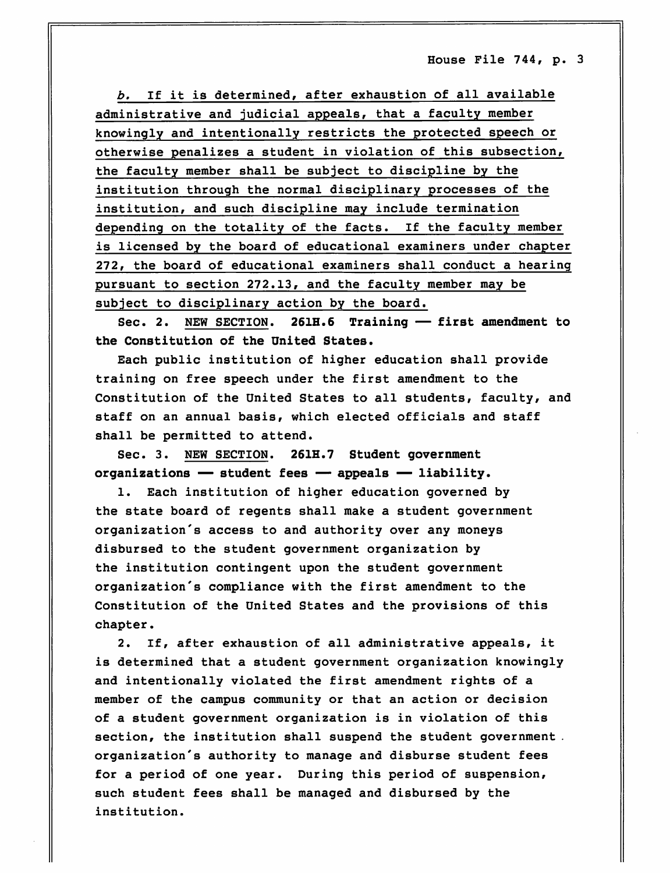House Pile 744, p. 3

b. If it is determined, after exhaustion of all available administrative and judicial appeals, that a faculty member knowingly and intentionally restricts the protected speech or otherwise penalizes a student in violation of this subsection, the faculty member shall be subject to discipline by the institution through the normal disciplinary processes of the institution, and such discipline may include termination depending on the totality of the facts. If the faculty member is licensed by the board of educational examiners under chapter 272, the board of educational examiners shall conduct a hearing pursuant to section 272.13, and the faculty member may be subject to disciplinary action by the board.

Sec. 2. NEW SECTION. 261H.6 Training — first amendment to the Constitution of the United States.

Each public institution of higher education shall provide training on free speech under the first amendment to the Constitution of the United States to all students, faculty, and staff on an annual basis, which elected officials and staff shall be permitted to attend.

Sec. 3. NEW SECTION. 261H.7 Student government organizations — student fees — appeals — liability.

1. Each institution of higher education governed by the state board of regents shall make a student government organization's access to and authority over any moneys disbursed to the student government organization by the institution contingent upon the student government organization's compliance with the first amendment to the Constitution of the United States and the provisions of this chapter.

2. If, after exhaustion of all administrative appeals, it is determined that a student government organization knowingly and intentionally violated the first amendment rights of a member of the campus community or that an action or decision of a student government organization is in violation of this section, the institution shall suspend the student government . organization's authority to manage and disburse student fees for a period of one year. During this period of suspension, such student fees shall be managed and disbursed by the institution.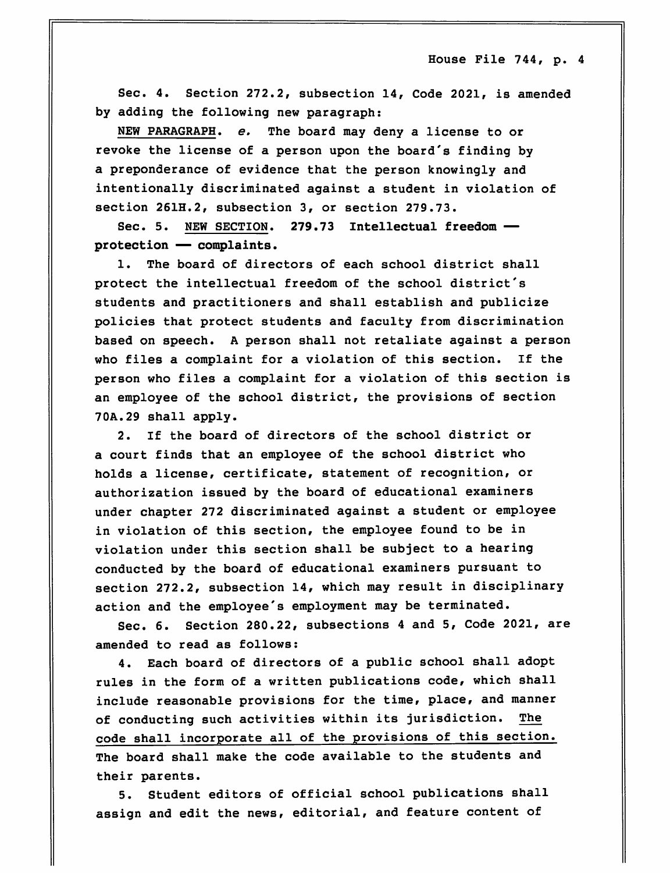House File 744, p. 4

Sec. 4. Section 272.2, subsection 14, Code 2021, is amended by adding the following new paragraph:

NEW PARAGRAPH, e. The board may deny a license to or revoke the license of a person upon the board's finding by a preponderance of evidence that the person knowingly and intentionally discriminated against a student in violation of section 261H.2, subsection 3, or section 279.73.

Sec. 5. NEW SECTION. 279.73 Intellectual freedom protection — complaints.

1. The board of directors of each school district shall protect the intellectual freedom of the school district's students and practitioners and shall establish and publicize policies that protect students and faculty from discrimination based on speech. A person shall not retaliate against a person who files a complaint for a violation of this section. If the person who files a complaint for a violation of this section is an employee of the school district, the provisions of section 7OA.29 shall apply.

2. If the board of directors of the school district or a court finds that an employee of the school district who holds a license, certificate, statement of recognition, or authorization issued by the board of educational examiners under chapter 272 discriminated against a student or employee in violation of this section, the employee found to be in violation under this section shall be subject to a hearing conducted by the board of educational examiners pursuant to section 272.2, subsection 14, which may result in disciplinary action and the employee's employment may be terminated.

Sec. 6. Section 280.22, subsections 4 and 5, Code 2021, are amended to read as follows:

4. Each board of directors of a public school shall adopt rules in the form of a written publications code, which shall include reasonable provisions for the time, place, and manner of conducting such activities within its jurisdiction. The code shall incorporate all of the provisions of this section. The board shall make the code available to the students and their parents.

5. Student editors of official school publications shall assign and edit the news, editorial, and feature content of